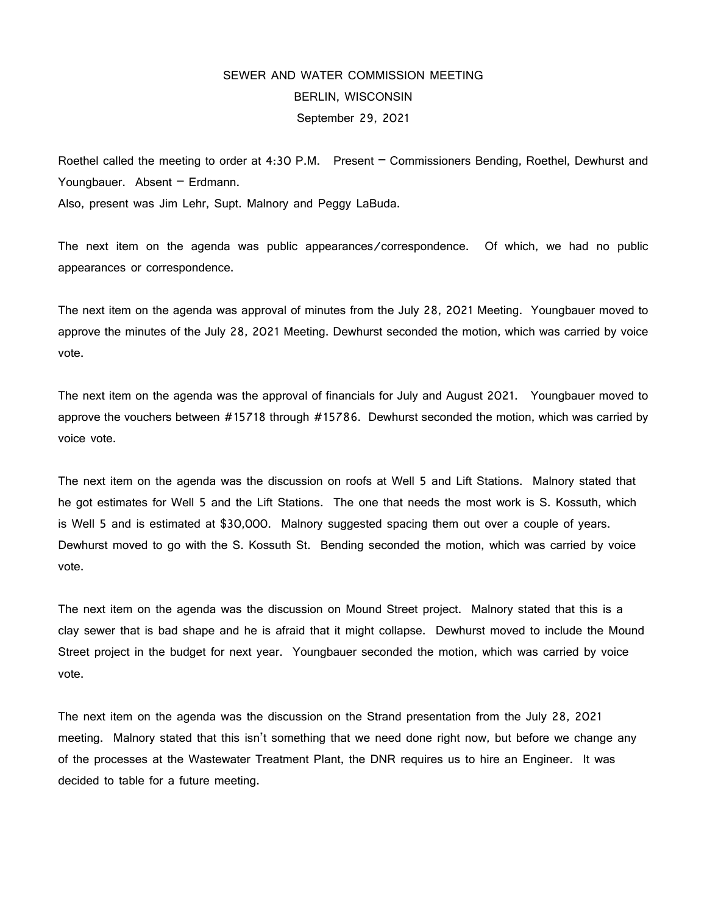## SEWER AND WATER COMMISSION MEETING BERLIN, WISCONSIN September 29, 2021

Roethel called the meeting to order at 4:30 P.M. Present – Commissioners Bending, Roethel, Dewhurst and Youngbauer. Absent - Erdmann.

Also, present was Jim Lehr, Supt. Malnory and Peggy LaBuda.

The next item on the agenda was public appearances/correspondence. Of which, we had no public appearances or correspondence.

The next item on the agenda was approval of minutes from the July 28, 2021 Meeting. Youngbauer moved to approve the minutes of the July 28, 2021 Meeting. Dewhurst seconded the motion, which was carried by voice vote.

The next item on the agenda was the approval of financials for July and August 2021. Youngbauer moved to approve the vouchers between #15718 through #15786. Dewhurst seconded the motion, which was carried by voice vote.

The next item on the agenda was the discussion on roofs at Well 5 and Lift Stations. Malnory stated that he got estimates for Well 5 and the Lift Stations. The one that needs the most work is S. Kossuth, which is Well 5 and is estimated at \$30,000. Malnory suggested spacing them out over a couple of years. Dewhurst moved to go with the S. Kossuth St. Bending seconded the motion, which was carried by voice vote.

The next item on the agenda was the discussion on Mound Street project. Malnory stated that this is a clay sewer that is bad shape and he is afraid that it might collapse. Dewhurst moved to include the Mound Street project in the budget for next year. Youngbauer seconded the motion, which was carried by voice vote.

The next item on the agenda was the discussion on the Strand presentation from the July 28, 2021 meeting. Malnory stated that this isn't something that we need done right now, but before we change any of the processes at the Wastewater Treatment Plant, the DNR requires us to hire an Engineer. It was decided to table for a future meeting.